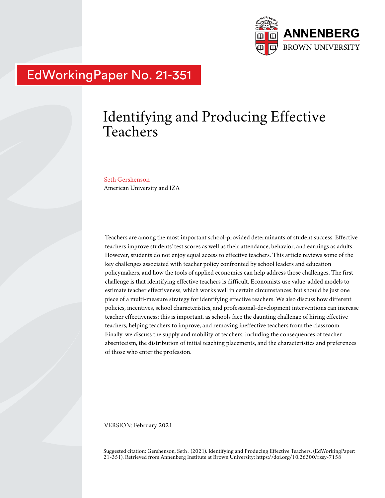

## EdWorkingPaper No. 21-351

# Identifying and Producing Effective Teachers

Seth Gershenson American University and IZA

Teachers are among the most important school-provided determinants of student success. Effective teachers improve students' test scores as well as their attendance, behavior, and earnings as adults. However, students do not enjoy equal access to effective teachers. This article reviews some of the key challenges associated with teacher policy confronted by school leaders and education policymakers, and how the tools of applied economics can help address those challenges. The first challenge is that identifying effective teachers is difficult. Economists use value-added models to estimate teacher effectiveness, which works well in certain circumstances, but should be just one piece of a multi-measure strategy for identifying effective teachers. We also discuss how different policies, incentives, school characteristics, and professional-development interventions can increase teacher effectiveness; this is important, as schools face the daunting challenge of hiring effective teachers, helping teachers to improve, and removing ineffective teachers from the classroom. Finally, we discuss the supply and mobility of teachers, including the consequences of teacher absenteeism, the distribution of initial teaching placements, and the characteristics and preferences of those who enter the profession.

VERSION: February 2021

Suggested citation: Gershenson, Seth . (2021). Identifying and Producing Effective Teachers. (EdWorkingPaper: 21-351). Retrieved from Annenberg Institute at Brown University: https://doi.org/10.26300/rzsy-7158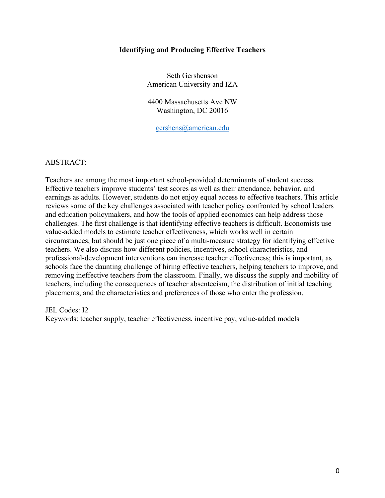### **Identifying and Producing Effective Teachers**

Seth Gershenson American University and IZA

4400 Massachusetts Ave NW Washington, DC 20016

gershens@american.edu

## ABSTRACT:

Teachers are among the most important school-provided determinants of student success. Effective teachers improve students' test scores as well as their attendance, behavior, and earnings as adults. However, students do not enjoy equal access to effective teachers. This article reviews some of the key challenges associated with teacher policy confronted by school leaders and education policymakers, and how the tools of applied economics can help address those challenges. The first challenge is that identifying effective teachers is difficult. Economists use value-added models to estimate teacher effectiveness, which works well in certain circumstances, but should be just one piece of a multi-measure strategy for identifying effective teachers. We also discuss how different policies, incentives, school characteristics, and professional-development interventions can increase teacher effectiveness; this is important, as schools face the daunting challenge of hiring effective teachers, helping teachers to improve, and removing ineffective teachers from the classroom. Finally, we discuss the supply and mobility of teachers, including the consequences of teacher absenteeism, the distribution of initial teaching placements, and the characteristics and preferences of those who enter the profession.

JEL Codes: I2

Keywords: teacher supply, teacher effectiveness, incentive pay, value-added models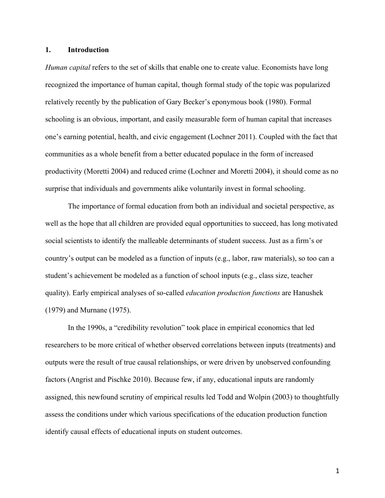#### **1. Introduction**

*Human capital* refers to the set of skills that enable one to create value. Economists have long recognized the importance of human capital, though formal study of the topic was popularized relatively recently by the publication of Gary Becker's eponymous book (1980). Formal schooling is an obvious, important, and easily measurable form of human capital that increases one's earning potential, health, and civic engagement (Lochner 2011). Coupled with the fact that communities as a whole benefit from a better educated populace in the form of increased productivity (Moretti 2004) and reduced crime (Lochner and Moretti 2004), it should come as no surprise that individuals and governments alike voluntarily invest in formal schooling.

The importance of formal education from both an individual and societal perspective, as well as the hope that all children are provided equal opportunities to succeed, has long motivated social scientists to identify the malleable determinants of student success. Just as a firm's or country's output can be modeled as a function of inputs (e.g., labor, raw materials), so too can a student's achievement be modeled as a function of school inputs (e.g., class size, teacher quality). Early empirical analyses of so-called *education production functions* are Hanushek (1979) and Murnane (1975).

In the 1990s, a "credibility revolution" took place in empirical economics that led researchers to be more critical of whether observed correlations between inputs (treatments) and outputs were the result of true causal relationships, or were driven by unobserved confounding factors (Angrist and Pischke 2010). Because few, if any, educational inputs are randomly assigned, this newfound scrutiny of empirical results led Todd and Wolpin (2003) to thoughtfully assess the conditions under which various specifications of the education production function identify causal effects of educational inputs on student outcomes.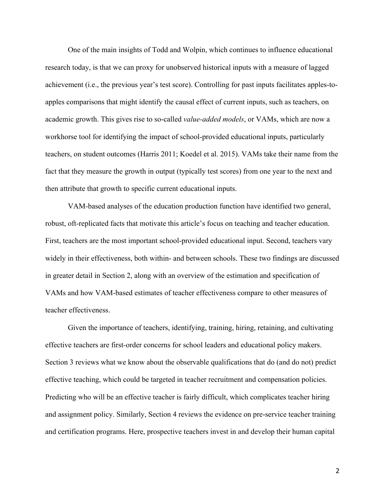One of the main insights of Todd and Wolpin, which continues to influence educational research today, is that we can proxy for unobserved historical inputs with a measure of lagged achievement (i.e., the previous year's test score). Controlling for past inputs facilitates apples-toapples comparisons that might identify the causal effect of current inputs, such as teachers, on academic growth. This gives rise to so-called *value-added models*, or VAMs, which are now a workhorse tool for identifying the impact of school-provided educational inputs, particularly teachers, on student outcomes (Harris 2011; Koedel et al. 2015). VAMs take their name from the fact that they measure the growth in output (typically test scores) from one year to the next and then attribute that growth to specific current educational inputs.

VAM-based analyses of the education production function have identified two general, robust, oft-replicated facts that motivate this article's focus on teaching and teacher education. First, teachers are the most important school-provided educational input. Second, teachers vary widely in their effectiveness, both within- and between schools. These two findings are discussed in greater detail in Section 2, along with an overview of the estimation and specification of VAMs and how VAM-based estimates of teacher effectiveness compare to other measures of teacher effectiveness.

Given the importance of teachers, identifying, training, hiring, retaining, and cultivating effective teachers are first-order concerns for school leaders and educational policy makers. Section 3 reviews what we know about the observable qualifications that do (and do not) predict effective teaching, which could be targeted in teacher recruitment and compensation policies. Predicting who will be an effective teacher is fairly difficult, which complicates teacher hiring and assignment policy. Similarly, Section 4 reviews the evidence on pre-service teacher training and certification programs. Here, prospective teachers invest in and develop their human capital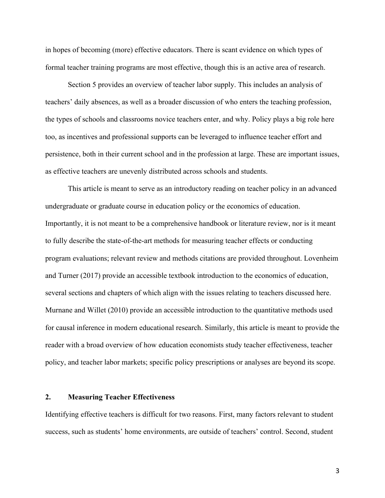in hopes of becoming (more) effective educators. There is scant evidence on which types of formal teacher training programs are most effective, though this is an active area of research.

Section 5 provides an overview of teacher labor supply. This includes an analysis of teachers' daily absences, as well as a broader discussion of who enters the teaching profession, the types of schools and classrooms novice teachers enter, and why. Policy plays a big role here too, as incentives and professional supports can be leveraged to influence teacher effort and persistence, both in their current school and in the profession at large. These are important issues, as effective teachers are unevenly distributed across schools and students.

This article is meant to serve as an introductory reading on teacher policy in an advanced undergraduate or graduate course in education policy or the economics of education. Importantly, it is not meant to be a comprehensive handbook or literature review, nor is it meant to fully describe the state-of-the-art methods for measuring teacher effects or conducting program evaluations; relevant review and methods citations are provided throughout. Lovenheim and Turner (2017) provide an accessible textbook introduction to the economics of education, several sections and chapters of which align with the issues relating to teachers discussed here. Murnane and Willet (2010) provide an accessible introduction to the quantitative methods used for causal inference in modern educational research. Similarly, this article is meant to provide the reader with a broad overview of how education economists study teacher effectiveness, teacher policy, and teacher labor markets; specific policy prescriptions or analyses are beyond its scope.

#### **2. Measuring Teacher Effectiveness**

Identifying effective teachers is difficult for two reasons. First, many factors relevant to student success, such as students' home environments, are outside of teachers' control. Second, student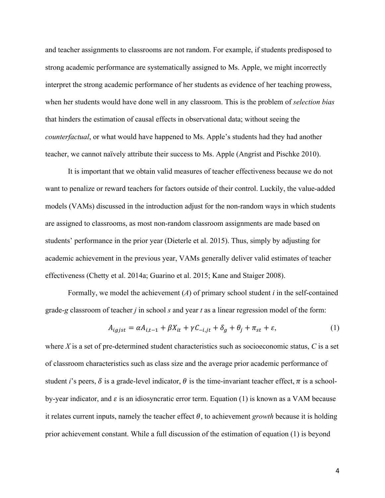and teacher assignments to classrooms are not random. For example, if students predisposed to strong academic performance are systematically assigned to Ms. Apple, we might incorrectly interpret the strong academic performance of her students as evidence of her teaching prowess, when her students would have done well in any classroom. This is the problem of *selection bias* that hinders the estimation of causal effects in observational data; without seeing the *counterfactual*, or what would have happened to Ms. Apple's students had they had another teacher, we cannot naïvely attribute their success to Ms. Apple (Angrist and Pischke 2010).

It is important that we obtain valid measures of teacher effectiveness because we do not want to penalize or reward teachers for factors outside of their control. Luckily, the value-added models (VAMs) discussed in the introduction adjust for the non-random ways in which students are assigned to classrooms, as most non-random classroom assignments are made based on students' performance in the prior year (Dieterle et al. 2015). Thus, simply by adjusting for academic achievement in the previous year, VAMs generally deliver valid estimates of teacher effectiveness (Chetty et al. 2014a; Guarino et al. 2015; Kane and Staiger 2008).

Formally, we model the achievement (*A*) of primary school student *i* in the self-contained grade-*g* classroom of teacher *j* in school *s* and year *t* as a linear regression model of the form:

$$
A_{igjst} = \alpha A_{i,t-1} + \beta X_{it} + \gamma C_{-i,jt} + \delta_g + \theta_j + \pi_{st} + \varepsilon,
$$
\n(1)

where *X* is a set of pre-determined student characteristics such as socioeconomic status, *C* is a set of classroom characteristics such as class size and the average prior academic performance of student *i*'s peers,  $\delta$  is a grade-level indicator,  $\theta$  is the time-invariant teacher effect,  $\pi$  is a schoolby-year indicator, and  $\varepsilon$  is an idiosyncratic error term. Equation (1) is known as a VAM because it relates current inputs, namely the teacher effect  $\theta$ , to achievement *growth* because it is holding prior achievement constant. While a full discussion of the estimation of equation (1) is beyond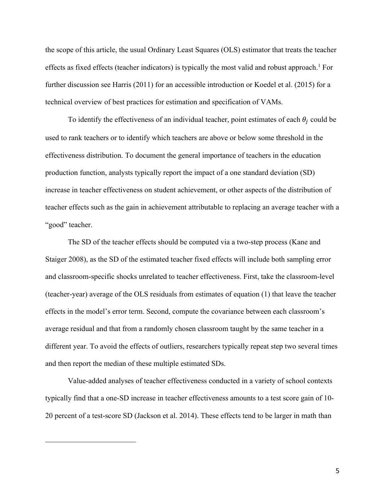the scope of this article, the usual Ordinary Least Squares (OLS) estimator that treats the teacher effects as fixed effects (teacher indicators) is typically the most valid and robust approach.<sup>1</sup> For further discussion see Harris (2011) for an accessible introduction or Koedel et al. (2015) for a technical overview of best practices for estimation and specification of VAMs.

To identify the effectiveness of an individual teacher, point estimates of each  $\theta_i$  could be used to rank teachers or to identify which teachers are above or below some threshold in the effectiveness distribution. To document the general importance of teachers in the education production function, analysts typically report the impact of a one standard deviation (SD) increase in teacher effectiveness on student achievement, or other aspects of the distribution of teacher effects such as the gain in achievement attributable to replacing an average teacher with a "good" teacher.

The SD of the teacher effects should be computed via a two-step process (Kane and Staiger 2008), as the SD of the estimated teacher fixed effects will include both sampling error and classroom-specific shocks unrelated to teacher effectiveness. First, take the classroom-level (teacher-year) average of the OLS residuals from estimates of equation (1) that leave the teacher effects in the model's error term. Second, compute the covariance between each classroom's average residual and that from a randomly chosen classroom taught by the same teacher in a different year. To avoid the effects of outliers, researchers typically repeat step two several times and then report the median of these multiple estimated SDs.

Value-added analyses of teacher effectiveness conducted in a variety of school contexts typically find that a one-SD increase in teacher effectiveness amounts to a test score gain of 10- 20 percent of a test-score SD (Jackson et al. 2014). These effects tend to be larger in math than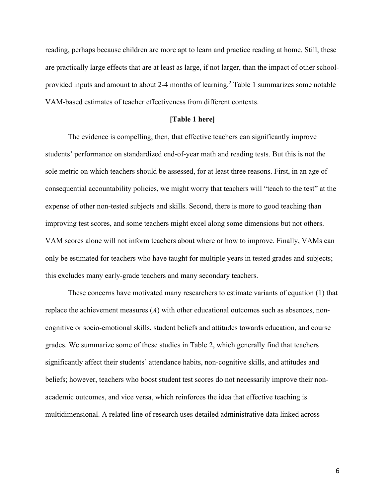reading, perhaps because children are more apt to learn and practice reading at home. Still, these are practically large effects that are at least as large, if not larger, than the impact of other schoolprovided inputs and amount to about 2-4 months of learning. <sup>2</sup> Table 1 summarizes some notable VAM-based estimates of teacher effectiveness from different contexts.

#### **[Table 1 here]**

The evidence is compelling, then, that effective teachers can significantly improve students' performance on standardized end-of-year math and reading tests. But this is not the sole metric on which teachers should be assessed, for at least three reasons. First, in an age of consequential accountability policies, we might worry that teachers will "teach to the test" at the expense of other non-tested subjects and skills. Second, there is more to good teaching than improving test scores, and some teachers might excel along some dimensions but not others. VAM scores alone will not inform teachers about where or how to improve. Finally, VAMs can only be estimated for teachers who have taught for multiple years in tested grades and subjects; this excludes many early-grade teachers and many secondary teachers.

These concerns have motivated many researchers to estimate variants of equation (1) that replace the achievement measures (*A*) with other educational outcomes such as absences, noncognitive or socio-emotional skills, student beliefs and attitudes towards education, and course grades. We summarize some of these studies in Table 2, which generally find that teachers significantly affect their students' attendance habits, non-cognitive skills, and attitudes and beliefs; however, teachers who boost student test scores do not necessarily improve their nonacademic outcomes, and vice versa, which reinforces the idea that effective teaching is multidimensional. A related line of research uses detailed administrative data linked across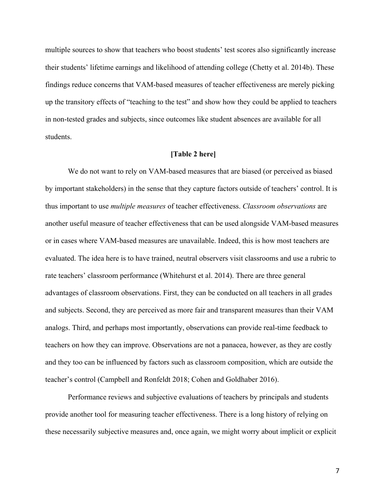multiple sources to show that teachers who boost students' test scores also significantly increase their students' lifetime earnings and likelihood of attending college (Chetty et al. 2014b). These findings reduce concerns that VAM-based measures of teacher effectiveness are merely picking up the transitory effects of "teaching to the test" and show how they could be applied to teachers in non-tested grades and subjects, since outcomes like student absences are available for all students.

## **[Table 2 here]**

We do not want to rely on VAM-based measures that are biased (or perceived as biased by important stakeholders) in the sense that they capture factors outside of teachers' control. It is thus important to use *multiple measures* of teacher effectiveness. *Classroom observations* are another useful measure of teacher effectiveness that can be used alongside VAM-based measures or in cases where VAM-based measures are unavailable. Indeed, this is how most teachers are evaluated. The idea here is to have trained, neutral observers visit classrooms and use a rubric to rate teachers' classroom performance (Whitehurst et al. 2014). There are three general advantages of classroom observations. First, they can be conducted on all teachers in all grades and subjects. Second, they are perceived as more fair and transparent measures than their VAM analogs. Third, and perhaps most importantly, observations can provide real-time feedback to teachers on how they can improve. Observations are not a panacea, however, as they are costly and they too can be influenced by factors such as classroom composition, which are outside the teacher's control (Campbell and Ronfeldt 2018; Cohen and Goldhaber 2016).

Performance reviews and subjective evaluations of teachers by principals and students provide another tool for measuring teacher effectiveness. There is a long history of relying on these necessarily subjective measures and, once again, we might worry about implicit or explicit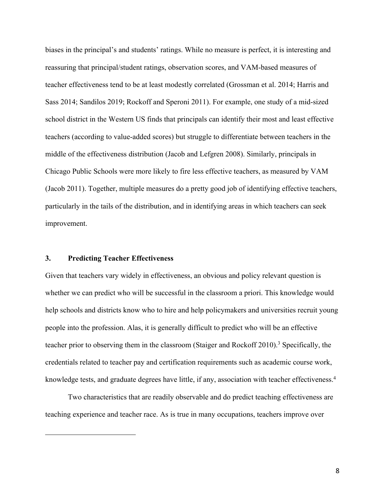biases in the principal's and students' ratings. While no measure is perfect, it is interesting and reassuring that principal/student ratings, observation scores, and VAM-based measures of teacher effectiveness tend to be at least modestly correlated (Grossman et al. 2014; Harris and Sass 2014; Sandilos 2019; Rockoff and Speroni 2011). For example, one study of a mid-sized school district in the Western US finds that principals can identify their most and least effective teachers (according to value-added scores) but struggle to differentiate between teachers in the middle of the effectiveness distribution (Jacob and Lefgren 2008). Similarly, principals in Chicago Public Schools were more likely to fire less effective teachers, as measured by VAM (Jacob 2011). Together, multiple measures do a pretty good job of identifying effective teachers, particularly in the tails of the distribution, and in identifying areas in which teachers can seek improvement.

## **3. Predicting Teacher Effectiveness**

Given that teachers vary widely in effectiveness, an obvious and policy relevant question is whether we can predict who will be successful in the classroom a priori. This knowledge would help schools and districts know who to hire and help policymakers and universities recruit young people into the profession. Alas, it is generally difficult to predict who will be an effective teacher prior to observing them in the classroom (Staiger and Rockoff 2010).<sup>3</sup> Specifically, the credentials related to teacher pay and certification requirements such as academic course work, knowledge tests, and graduate degrees have little, if any, association with teacher effectiveness.<sup>4</sup>

Two characteristics that are readily observable and do predict teaching effectiveness are teaching experience and teacher race. As is true in many occupations, teachers improve over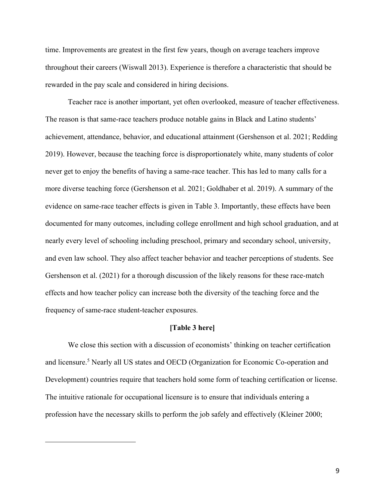time. Improvements are greatest in the first few years, though on average teachers improve throughout their careers (Wiswall 2013). Experience is therefore a characteristic that should be rewarded in the pay scale and considered in hiring decisions.

Teacher race is another important, yet often overlooked, measure of teacher effectiveness. The reason is that same-race teachers produce notable gains in Black and Latino students' achievement, attendance, behavior, and educational attainment (Gershenson et al. 2021; Redding 2019). However, because the teaching force is disproportionately white, many students of color never get to enjoy the benefits of having a same-race teacher. This has led to many calls for a more diverse teaching force (Gershenson et al. 2021; Goldhaber et al. 2019). A summary of the evidence on same-race teacher effects is given in Table 3. Importantly, these effects have been documented for many outcomes, including college enrollment and high school graduation, and at nearly every level of schooling including preschool, primary and secondary school, university, and even law school. They also affect teacher behavior and teacher perceptions of students. See Gershenson et al. (2021) for a thorough discussion of the likely reasons for these race-match effects and how teacher policy can increase both the diversity of the teaching force and the frequency of same-race student-teacher exposures.

#### **[Table 3 here]**

We close this section with a discussion of economists' thinking on teacher certification and licensure.5 Nearly all US states and OECD (Organization for Economic Co-operation and Development) countries require that teachers hold some form of teaching certification or license. The intuitive rationale for occupational licensure is to ensure that individuals entering a profession have the necessary skills to perform the job safely and effectively (Kleiner 2000;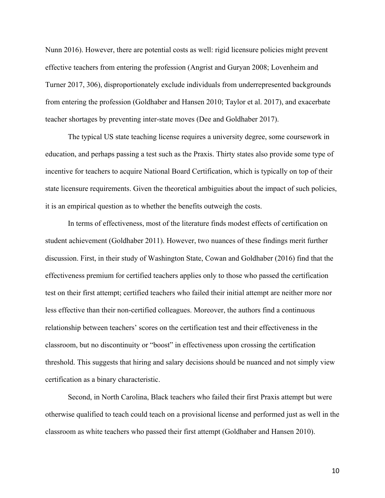Nunn 2016). However, there are potential costs as well: rigid licensure policies might prevent effective teachers from entering the profession (Angrist and Guryan 2008; Lovenheim and Turner 2017, 306), disproportionately exclude individuals from underrepresented backgrounds from entering the profession (Goldhaber and Hansen 2010; Taylor et al. 2017), and exacerbate teacher shortages by preventing inter-state moves (Dee and Goldhaber 2017).

The typical US state teaching license requires a university degree, some coursework in education, and perhaps passing a test such as the Praxis. Thirty states also provide some type of incentive for teachers to acquire National Board Certification, which is typically on top of their state licensure requirements. Given the theoretical ambiguities about the impact of such policies, it is an empirical question as to whether the benefits outweigh the costs.

In terms of effectiveness, most of the literature finds modest effects of certification on student achievement (Goldhaber 2011). However, two nuances of these findings merit further discussion. First, in their study of Washington State, Cowan and Goldhaber (2016) find that the effectiveness premium for certified teachers applies only to those who passed the certification test on their first attempt; certified teachers who failed their initial attempt are neither more nor less effective than their non-certified colleagues. Moreover, the authors find a continuous relationship between teachers' scores on the certification test and their effectiveness in the classroom, but no discontinuity or "boost" in effectiveness upon crossing the certification threshold. This suggests that hiring and salary decisions should be nuanced and not simply view certification as a binary characteristic.

Second, in North Carolina, Black teachers who failed their first Praxis attempt but were otherwise qualified to teach could teach on a provisional license and performed just as well in the classroom as white teachers who passed their first attempt (Goldhaber and Hansen 2010).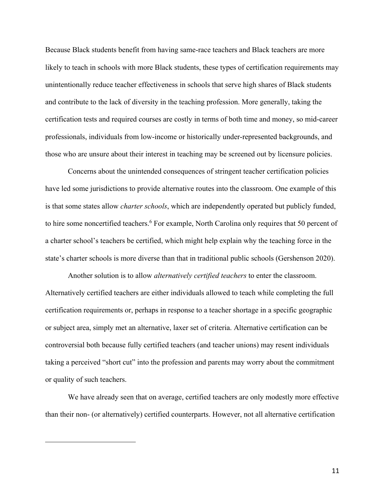Because Black students benefit from having same-race teachers and Black teachers are more likely to teach in schools with more Black students, these types of certification requirements may unintentionally reduce teacher effectiveness in schools that serve high shares of Black students and contribute to the lack of diversity in the teaching profession. More generally, taking the certification tests and required courses are costly in terms of both time and money, so mid-career professionals, individuals from low-income or historically under-represented backgrounds, and those who are unsure about their interest in teaching may be screened out by licensure policies.

Concerns about the unintended consequences of stringent teacher certification policies have led some jurisdictions to provide alternative routes into the classroom. One example of this is that some states allow *charter schools*, which are independently operated but publicly funded, to hire some noncertified teachers.<sup>6</sup> For example, North Carolina only requires that 50 percent of a charter school's teachers be certified, which might help explain why the teaching force in the state's charter schools is more diverse than that in traditional public schools (Gershenson 2020).

Another solution is to allow *alternatively certified teachers* to enter the classroom. Alternatively certified teachers are either individuals allowed to teach while completing the full certification requirements or, perhaps in response to a teacher shortage in a specific geographic or subject area, simply met an alternative, laxer set of criteria. Alternative certification can be controversial both because fully certified teachers (and teacher unions) may resent individuals taking a perceived "short cut" into the profession and parents may worry about the commitment or quality of such teachers.

We have already seen that on average, certified teachers are only modestly more effective than their non- (or alternatively) certified counterparts. However, not all alternative certification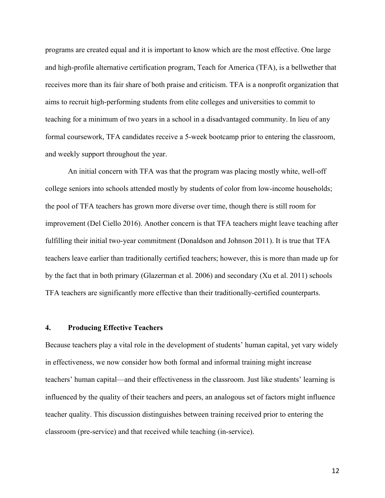programs are created equal and it is important to know which are the most effective. One large and high-profile alternative certification program, Teach for America (TFA), is a bellwether that receives more than its fair share of both praise and criticism. TFA is a nonprofit organization that aims to recruit high-performing students from elite colleges and universities to commit to teaching for a minimum of two years in a school in a disadvantaged community. In lieu of any formal coursework, TFA candidates receive a 5-week bootcamp prior to entering the classroom, and weekly support throughout the year.

An initial concern with TFA was that the program was placing mostly white, well-off college seniors into schools attended mostly by students of color from low-income households; the pool of TFA teachers has grown more diverse over time, though there is still room for improvement (Del Ciello 2016). Another concern is that TFA teachers might leave teaching after fulfilling their initial two-year commitment (Donaldson and Johnson 2011). It is true that TFA teachers leave earlier than traditionally certified teachers; however, this is more than made up for by the fact that in both primary (Glazerman et al. 2006) and secondary (Xu et al. 2011) schools TFA teachers are significantly more effective than their traditionally-certified counterparts.

#### **4. Producing Effective Teachers**

Because teachers play a vital role in the development of students' human capital, yet vary widely in effectiveness, we now consider how both formal and informal training might increase teachers' human capital—and their effectiveness in the classroom. Just like students' learning is influenced by the quality of their teachers and peers, an analogous set of factors might influence teacher quality. This discussion distinguishes between training received prior to entering the classroom (pre-service) and that received while teaching (in-service).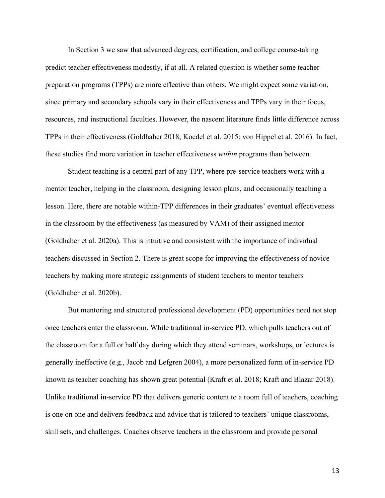In Section 3 we saw that advanced degrees, certification, and college course-taking predict teacher effectiveness modestly, if at all. A related question is whether some teacher preparation programs (TPPs) are more effective than others. We might expect some variation, since primary and secondary schools vary in their effectiveness and TPPs vary in their focus, resources, and instructional faculties. However, the nascent literature finds little difference across TPPs in their effectiveness (Goldhaber 2018; Koedel et al. 2015; von Hippel et al. 2016). In fact, these studies find more variation in teacher effectiveness *within* programs than between.

Student teaching is a central part of any TPP, where pre-service teachers work with a mentor teacher, helping in the classroom, designing lesson plans, and occasionally teaching a lesson. Here, there are notable within-TPP differences in their graduates' eventual effectiveness in the classroom by the effectiveness (as measured by VAM) of their assigned mentor (Goldhaber et al. 2020a). This is intuitive and consistent with the importance of individual teachers discussed in Section 2. There is great scope for improving the effectiveness of novice teachers by making more strategic assignments of student teachers to mentor teachers (Goldhaber et al. 2020b).

But mentoring and structured professional development (PD) opportunities need not stop once teachers enter the classroom. While traditional in-service PD, which pulls teachers out of the classroom for a full or half day during which they attend seminars, workshops, or lectures is generally ineffective (e.g., Jacob and Lefgren 2004), a more personalized form of in-service PD known as teacher coaching has shown great potential (Kraft et al. 2018; Kraft and Blazar 2018). Unlike traditional in-service PD that delivers generic content to a room full of teachers, coaching is one on one and delivers feedback and advice that is tailored to teachers' unique classrooms, skill sets, and challenges. Coaches observe teachers in the classroom and provide personal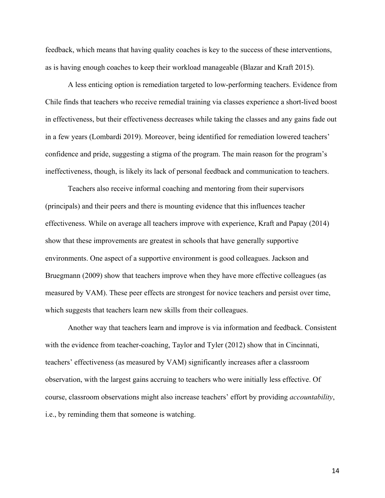feedback, which means that having quality coaches is key to the success of these interventions, as is having enough coaches to keep their workload manageable (Blazar and Kraft 2015).

A less enticing option is remediation targeted to low-performing teachers. Evidence from Chile finds that teachers who receive remedial training via classes experience a short-lived boost in effectiveness, but their effectiveness decreases while taking the classes and any gains fade out in a few years (Lombardi 2019). Moreover, being identified for remediation lowered teachers' confidence and pride, suggesting a stigma of the program. The main reason for the program's ineffectiveness, though, is likely its lack of personal feedback and communication to teachers.

Teachers also receive informal coaching and mentoring from their supervisors (principals) and their peers and there is mounting evidence that this influences teacher effectiveness. While on average all teachers improve with experience, Kraft and Papay (2014) show that these improvements are greatest in schools that have generally supportive environments. One aspect of a supportive environment is good colleagues. Jackson and Bruegmann (2009) show that teachers improve when they have more effective colleagues (as measured by VAM). These peer effects are strongest for novice teachers and persist over time, which suggests that teachers learn new skills from their colleagues.

Another way that teachers learn and improve is via information and feedback. Consistent with the evidence from teacher-coaching, Taylor and Tyler (2012) show that in Cincinnati, teachers' effectiveness (as measured by VAM) significantly increases after a classroom observation, with the largest gains accruing to teachers who were initially less effective. Of course, classroom observations might also increase teachers' effort by providing *accountability*, i.e., by reminding them that someone is watching.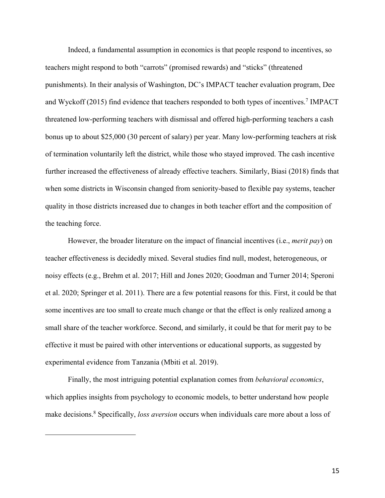Indeed, a fundamental assumption in economics is that people respond to incentives, so teachers might respond to both "carrots" (promised rewards) and "sticks" (threatened punishments). In their analysis of Washington, DC's IMPACT teacher evaluation program, Dee and Wyckoff (2015) find evidence that teachers responded to both types of incentives. <sup>7</sup> IMPACT threatened low-performing teachers with dismissal and offered high-performing teachers a cash bonus up to about \$25,000 (30 percent of salary) per year. Many low-performing teachers at risk of termination voluntarily left the district, while those who stayed improved. The cash incentive further increased the effectiveness of already effective teachers. Similarly, Biasi (2018) finds that when some districts in Wisconsin changed from seniority-based to flexible pay systems, teacher quality in those districts increased due to changes in both teacher effort and the composition of the teaching force.

However, the broader literature on the impact of financial incentives (i.e., *merit pay*) on teacher effectiveness is decidedly mixed. Several studies find null, modest, heterogeneous, or noisy effects (e.g., Brehm et al. 2017; Hill and Jones 2020; Goodman and Turner 2014; Speroni et al. 2020; Springer et al. 2011). There are a few potential reasons for this. First, it could be that some incentives are too small to create much change or that the effect is only realized among a small share of the teacher workforce. Second, and similarly, it could be that for merit pay to be effective it must be paired with other interventions or educational supports, as suggested by experimental evidence from Tanzania (Mbiti et al. 2019).

Finally, the most intriguing potential explanation comes from *behavioral economics*, which applies insights from psychology to economic models, to better understand how people make decisions.8 Specifically, *loss aversion* occurs when individuals care more about a loss of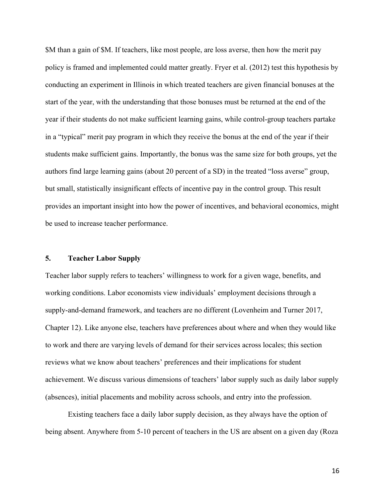\$M than a gain of \$M. If teachers, like most people, are loss averse, then how the merit pay policy is framed and implemented could matter greatly. Fryer et al. (2012) test this hypothesis by conducting an experiment in Illinois in which treated teachers are given financial bonuses at the start of the year, with the understanding that those bonuses must be returned at the end of the year if their students do not make sufficient learning gains, while control-group teachers partake in a "typical" merit pay program in which they receive the bonus at the end of the year if their students make sufficient gains. Importantly, the bonus was the same size for both groups, yet the authors find large learning gains (about 20 percent of a SD) in the treated "loss averse" group, but small, statistically insignificant effects of incentive pay in the control group. This result provides an important insight into how the power of incentives, and behavioral economics, might be used to increase teacher performance.

## **5. Teacher Labor Supply**

Teacher labor supply refers to teachers' willingness to work for a given wage, benefits, and working conditions. Labor economists view individuals' employment decisions through a supply-and-demand framework, and teachers are no different (Lovenheim and Turner 2017, Chapter 12). Like anyone else, teachers have preferences about where and when they would like to work and there are varying levels of demand for their services across locales; this section reviews what we know about teachers' preferences and their implications for student achievement. We discuss various dimensions of teachers' labor supply such as daily labor supply (absences), initial placements and mobility across schools, and entry into the profession.

Existing teachers face a daily labor supply decision, as they always have the option of being absent. Anywhere from 5-10 percent of teachers in the US are absent on a given day (Roza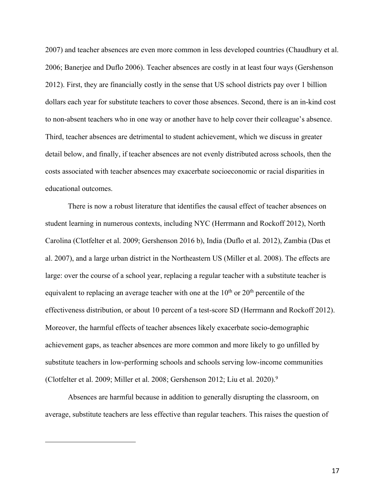2007) and teacher absences are even more common in less developed countries (Chaudhury et al. 2006; Banerjee and Duflo 2006). Teacher absences are costly in at least four ways (Gershenson 2012). First, they are financially costly in the sense that US school districts pay over 1 billion dollars each year for substitute teachers to cover those absences. Second, there is an in-kind cost to non-absent teachers who in one way or another have to help cover their colleague's absence. Third, teacher absences are detrimental to student achievement, which we discuss in greater detail below, and finally, if teacher absences are not evenly distributed across schools, then the costs associated with teacher absences may exacerbate socioeconomic or racial disparities in educational outcomes.

There is now a robust literature that identifies the causal effect of teacher absences on student learning in numerous contexts, including NYC (Herrmann and Rockoff 2012), North Carolina (Clotfelter et al. 2009; Gershenson 2016 b), India (Duflo et al. 2012), Zambia (Das et al. 2007), and a large urban district in the Northeastern US (Miller et al. 2008). The effects are large: over the course of a school year, replacing a regular teacher with a substitute teacher is equivalent to replacing an average teacher with one at the  $10<sup>th</sup>$  or  $20<sup>th</sup>$  percentile of the effectiveness distribution, or about 10 percent of a test-score SD (Herrmann and Rockoff 2012). Moreover, the harmful effects of teacher absences likely exacerbate socio-demographic achievement gaps, as teacher absences are more common and more likely to go unfilled by substitute teachers in low-performing schools and schools serving low-income communities (Clotfelter et al. 2009; Miller et al. 2008; Gershenson 2012; Liu et al. 2020).9

Absences are harmful because in addition to generally disrupting the classroom, on average, substitute teachers are less effective than regular teachers. This raises the question of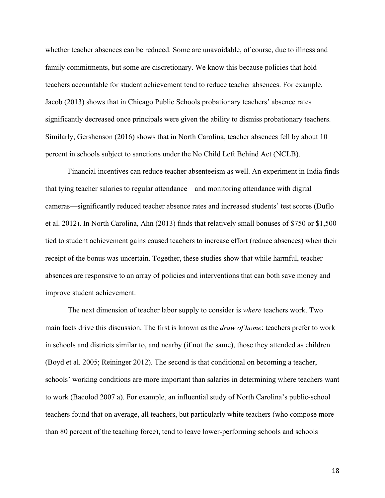whether teacher absences can be reduced. Some are unavoidable, of course, due to illness and family commitments, but some are discretionary. We know this because policies that hold teachers accountable for student achievement tend to reduce teacher absences. For example, Jacob (2013) shows that in Chicago Public Schools probationary teachers' absence rates significantly decreased once principals were given the ability to dismiss probationary teachers. Similarly, Gershenson (2016) shows that in North Carolina, teacher absences fell by about 10 percent in schools subject to sanctions under the No Child Left Behind Act (NCLB).

Financial incentives can reduce teacher absenteeism as well. An experiment in India finds that tying teacher salaries to regular attendance—and monitoring attendance with digital cameras—significantly reduced teacher absence rates and increased students' test scores (Duflo et al. 2012). In North Carolina, Ahn (2013) finds that relatively small bonuses of \$750 or \$1,500 tied to student achievement gains caused teachers to increase effort (reduce absences) when their receipt of the bonus was uncertain. Together, these studies show that while harmful, teacher absences are responsive to an array of policies and interventions that can both save money and improve student achievement.

The next dimension of teacher labor supply to consider is *where* teachers work. Two main facts drive this discussion. The first is known as the *draw of home*: teachers prefer to work in schools and districts similar to, and nearby (if not the same), those they attended as children (Boyd et al. 2005; Reininger 2012). The second is that conditional on becoming a teacher, schools' working conditions are more important than salaries in determining where teachers want to work (Bacolod 2007 a). For example, an influential study of North Carolina's public-school teachers found that on average, all teachers, but particularly white teachers (who compose more than 80 percent of the teaching force), tend to leave lower-performing schools and schools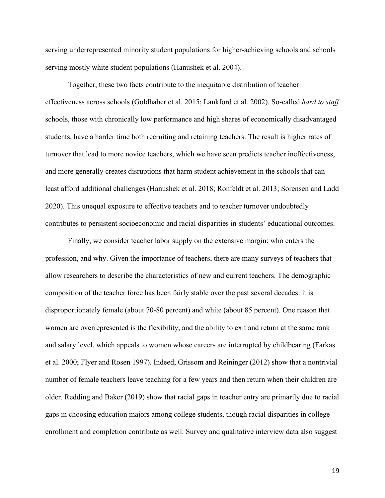serving underrepresented minority student populations for higher-achieving schools and schools serving mostly white student populations (Hanushek et al. 2004).

Together, these two facts contribute to the inequitable distribution of teacher effectiveness across schools (Goldhaber et al. 2015; Lankford et al. 2002). So-called *hard to staff* schools, those with chronically low performance and high shares of economically disadvantaged students, have a harder time both recruiting and retaining teachers. The result is higher rates of turnover that lead to more novice teachers, which we have seen predicts teacher ineffectiveness, and more generally creates disruptions that harm student achievement in the schools that can least afford additional challenges (Hanushek et al. 2018; Ronfeldt et al. 2013; Sorensen and Ladd 2020). This unequal exposure to effective teachers and to teacher turnover undoubtedly contributes to persistent socioeconomic and racial disparities in students' educational outcomes.

Finally, we consider teacher labor supply on the extensive margin: who enters the profession, and why. Given the importance of teachers, there are many surveys of teachers that allow researchers to describe the characteristics of new and current teachers. The demographic composition of the teacher force has been fairly stable over the past several decades: it is disproportionately female (about 70-80 percent) and white (about 85 percent). One reason that women are overrepresented is the flexibility, and the ability to exit and return at the same rank and salary level, which appeals to women whose careers are interrupted by childbearing (Farkas et al. 2000; Flyer and Rosen 1997). Indeed, Grissom and Reininger (2012) show that a nontrivial number of female teachers leave teaching for a few years and then return when their children are older. Redding and Baker (2019) show that racial gaps in teacher entry are primarily due to racial gaps in choosing education majors among college students, though racial disparities in college enrollment and completion contribute as well. Survey and qualitative interview data also suggest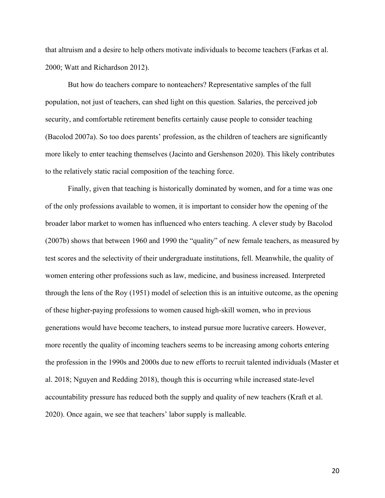that altruism and a desire to help others motivate individuals to become teachers (Farkas et al. 2000; Watt and Richardson 2012).

But how do teachers compare to nonteachers? Representative samples of the full population, not just of teachers, can shed light on this question. Salaries, the perceived job security, and comfortable retirement benefits certainly cause people to consider teaching (Bacolod 2007a). So too does parents' profession, as the children of teachers are significantly more likely to enter teaching themselves (Jacinto and Gershenson 2020). This likely contributes to the relatively static racial composition of the teaching force.

Finally, given that teaching is historically dominated by women, and for a time was one of the only professions available to women, it is important to consider how the opening of the broader labor market to women has influenced who enters teaching. A clever study by Bacolod (2007b) shows that between 1960 and 1990 the "quality" of new female teachers, as measured by test scores and the selectivity of their undergraduate institutions, fell. Meanwhile, the quality of women entering other professions such as law, medicine, and business increased. Interpreted through the lens of the Roy (1951) model of selection this is an intuitive outcome, as the opening of these higher-paying professions to women caused high-skill women, who in previous generations would have become teachers, to instead pursue more lucrative careers. However, more recently the quality of incoming teachers seems to be increasing among cohorts entering the profession in the 1990s and 2000s due to new efforts to recruit talented individuals (Master et al. 2018; Nguyen and Redding 2018), though this is occurring while increased state-level accountability pressure has reduced both the supply and quality of new teachers (Kraft et al. 2020). Once again, we see that teachers' labor supply is malleable.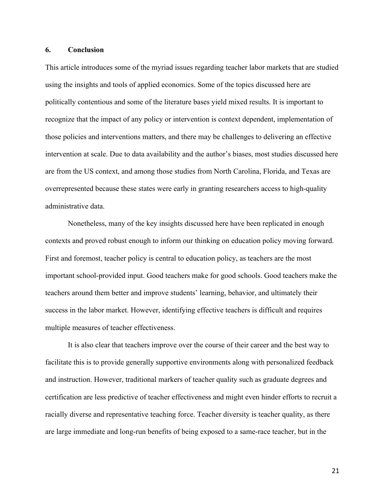## **6. Conclusion**

This article introduces some of the myriad issues regarding teacher labor markets that are studied using the insights and tools of applied economics. Some of the topics discussed here are politically contentious and some of the literature bases yield mixed results. It is important to recognize that the impact of any policy or intervention is context dependent, implementation of those policies and interventions matters, and there may be challenges to delivering an effective intervention at scale. Due to data availability and the author's biases, most studies discussed here are from the US context, and among those studies from North Carolina, Florida, and Texas are overrepresented because these states were early in granting researchers access to high-quality administrative data.

Nonetheless, many of the key insights discussed here have been replicated in enough contexts and proved robust enough to inform our thinking on education policy moving forward. First and foremost, teacher policy is central to education policy, as teachers are the most important school-provided input. Good teachers make for good schools. Good teachers make the teachers around them better and improve students' learning, behavior, and ultimately their success in the labor market. However, identifying effective teachers is difficult and requires multiple measures of teacher effectiveness.

It is also clear that teachers improve over the course of their career and the best way to facilitate this is to provide generally supportive environments along with personalized feedback and instruction. However, traditional markers of teacher quality such as graduate degrees and certification are less predictive of teacher effectiveness and might even hinder efforts to recruit a racially diverse and representative teaching force. Teacher diversity is teacher quality, as there are large immediate and long-run benefits of being exposed to a same-race teacher, but in the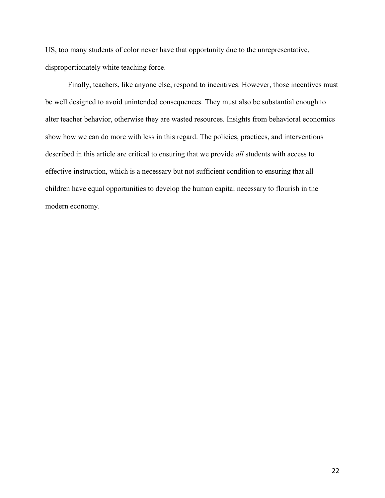US, too many students of color never have that opportunity due to the unrepresentative, disproportionately white teaching force.

Finally, teachers, like anyone else, respond to incentives. However, those incentives must be well designed to avoid unintended consequences. They must also be substantial enough to alter teacher behavior, otherwise they are wasted resources. Insights from behavioral economics show how we can do more with less in this regard. The policies, practices, and interventions described in this article are critical to ensuring that we provide *all* students with access to effective instruction, which is a necessary but not sufficient condition to ensuring that all children have equal opportunities to develop the human capital necessary to flourish in the modern economy.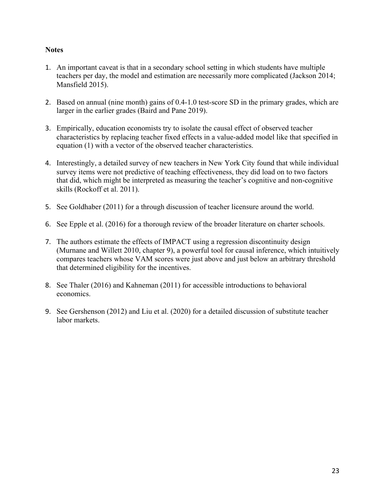## **Notes**

- 1. An important caveat is that in a secondary school setting in which students have multiple teachers per day, the model and estimation are necessarily more complicated (Jackson 2014; Mansfield 2015).
- 2. Based on annual (nine month) gains of 0.4-1.0 test-score SD in the primary grades, which are larger in the earlier grades (Baird and Pane 2019).
- 3. Empirically, education economists try to isolate the causal effect of observed teacher characteristics by replacing teacher fixed effects in a value-added model like that specified in equation (1) with a vector of the observed teacher characteristics.
- 4. Interestingly, a detailed survey of new teachers in New York City found that while individual survey items were not predictive of teaching effectiveness, they did load on to two factors that did, which might be interpreted as measuring the teacher's cognitive and non-cognitive skills (Rockoff et al. 2011).
- 5. See Goldhaber (2011) for a through discussion of teacher licensure around the world.
- 6. See Epple et al. (2016) for a thorough review of the broader literature on charter schools.
- 7. The authors estimate the effects of IMPACT using a regression discontinuity design (Murnane and Willett 2010, chapter 9), a powerful tool for causal inference, which intuitively compares teachers whose VAM scores were just above and just below an arbitrary threshold that determined eligibility for the incentives.
- 8. See Thaler (2016) and Kahneman (2011) for accessible introductions to behavioral economics.
- 9. See Gershenson (2012) and Liu et al. (2020) for a detailed discussion of substitute teacher labor markets.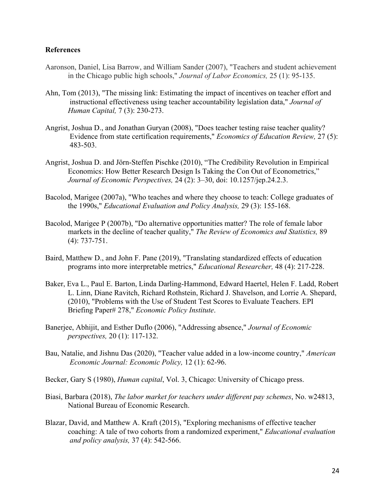## **References**

- Aaronson, Daniel, Lisa Barrow, and William Sander (2007), "Teachers and student achievement in the Chicago public high schools," *Journal of Labor Economics,* 25 (1): 95-135.
- Ahn, Tom (2013), "The missing link: Estimating the impact of incentives on teacher effort and instructional effectiveness using teacher accountability legislation data," *Journal of Human Capital,* 7 (3): 230-273.
- Angrist, Joshua D., and Jonathan Guryan (2008), "Does teacher testing raise teacher quality? Evidence from state certification requirements," *Economics of Education Review,* 27 (5): 483-503.
- Angrist, Joshua D. and Jörn-Steffen Pischke (2010), "The Credibility Revolution in Empirical Economics: How Better Research Design Is Taking the Con Out of Econometrics," *Journal of Economic Perspectives,* 24 (2): 3–30, doi: 10.1257/jep.24.2.3.
- Bacolod, Marigee (2007a), "Who teaches and where they choose to teach: College graduates of the 1990s," *Educational Evaluation and Policy Analysis,* 29 (3): 155-168.
- Bacolod, Marigee P (2007b), "Do alternative opportunities matter? The role of female labor markets in the decline of teacher quality," *The Review of Economics and Statistics,* 89 (4): 737-751.
- Baird, Matthew D., and John F. Pane (2019), "Translating standardized effects of education programs into more interpretable metrics," *Educational Researcher,* 48 (4): 217-228.
- Baker, Eva L., Paul E. Barton, Linda Darling-Hammond, Edward Haertel, Helen F. Ladd, Robert L. Linn, Diane Ravitch, Richard Rothstein, Richard J. Shavelson, and Lorrie A. Shepard, (2010), "Problems with the Use of Student Test Scores to Evaluate Teachers. EPI Briefing Paper# 278," *Economic Policy Institute*.
- Banerjee, Abhijit, and Esther Duflo (2006), "Addressing absence," *Journal of Economic perspectives,* 20 (1): 117-132.
- Bau, Natalie, and Jishnu Das (2020), "Teacher value added in a low-income country," *American Economic Journal: Economic Policy,* 12 (1): 62-96.
- Becker, Gary S (1980), *Human capital*, Vol. 3, Chicago: University of Chicago press.
- Biasi, Barbara (2018), *The labor market for teachers under different pay schemes*, No. w24813, National Bureau of Economic Research.
- Blazar, David, and Matthew A. Kraft (2015), "Exploring mechanisms of effective teacher coaching: A tale of two cohorts from a randomized experiment," *Educational evaluation and policy analysis,* 37 (4): 542-566.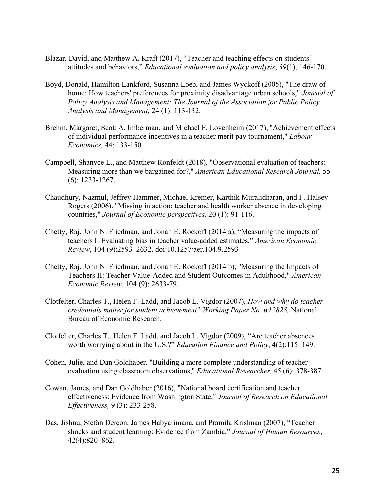- Blazar, David, and Matthew A. Kraft (2017), "Teacher and teaching effects on students' attitudes and behaviors," *Educational evaluation and policy analysis*, *39*(1), 146-170.
- Boyd, Donald, Hamilton Lankford, Susanna Loeb, and James Wyckoff (2005), "The draw of home: How teachers' preferences for proximity disadvantage urban schools," *Journal of Policy Analysis and Management: The Journal of the Association for Public Policy Analysis and Management,* 24 (1): 113-132.
- Brehm, Margaret, Scott A. Imberman, and Michael F. Lovenheim (2017), "Achievement effects of individual performance incentives in a teacher merit pay tournament," *Labour Economics,* 44: 133-150.
- Campbell, Shanyce L., and Matthew Ronfeldt (2018), "Observational evaluation of teachers: Measuring more than we bargained for?," *American Educational Research Journal,* 55 (6): 1233-1267.
- Chaudhury, Nazmul, Jeffrey Hammer, Michael Kremer, Karthik Muralidharan, and F. Halsey Rogers (2006). "Missing in action: teacher and health worker absence in developing countries," *Journal of Economic perspectives,* 20 (1): 91-116.
- Chetty, Raj, John N. Friedman, and Jonah E. Rockoff (2014 a), "Measuring the impacts of teachers I: Evaluating bias in teacher value-added estimates," *American Economic Review*, 104 (9):2593–2632. doi:10.1257/aer.104.9.2593
- Chetty, Raj, John N. Friedman, and Jonah E. Rockoff (2014 b), "Measuring the Impacts of Teachers II: Teacher Value-Added and Student Outcomes in Adulthood," *American Economic Review*, 104 (9): 2633-79.
- Clotfelter, Charles T., Helen F. Ladd, and Jacob L. Vigdor (2007), *How and why do teacher credentials matter for student achievement? Working Paper No. w12828,* National Bureau of Economic Research.
- Clotfelter, Charles T., Helen F. Ladd, and Jacob L. Vigdor (2009), "Are teacher absences worth worrying about in the U.S.?" *Education Finance and Policy*, 4(2):115–149.
- Cohen, Julie, and Dan Goldhaber. "Building a more complete understanding of teacher evaluation using classroom observations," *Educational Researcher,* 45 (6): 378-387.
- Cowan, James, and Dan Goldhaber (2016), "National board certification and teacher effectiveness: Evidence from Washington State," *Journal of Research on Educational Effectiveness,* 9 (3): 233-258.
- Das, Jishnu, Stefan Dercon, James Habyarimana, and Pramila Krishnan (2007), "Teacher shocks and student learning: Evidence from Zambia," *Journal of Human Resources*, 42(4):820–862.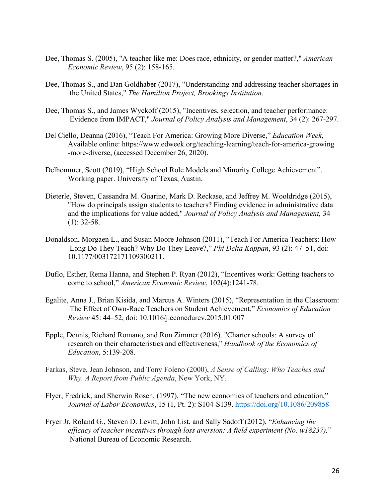- Dee, Thomas S. (2005), "A teacher like me: Does race, ethnicity, or gender matter?," *American Economic Review*, 95 (2): 158-165.
- Dee, Thomas S., and Dan Goldhaber (2017), "Understanding and addressing teacher shortages in the United States," *The Hamilton Project, Brookings Institution*.
- Dee, Thomas S., and James Wyckoff (2015), "Incentives, selection, and teacher performance: Evidence from IMPACT," *Journal of Policy Analysis and Management*, 34 (2): 267-297.
- Del Ciello, Deanna (2016), "Teach For America: Growing More Diverse," *Education Week*, Available online: https://www.edweek.org/teaching-learning/teach-for-america-growing -more-diverse, (accessed December 26, 2020).
- Delhommer, Scott (2019), "High School Role Models and Minority College Achievement". Working paper. University of Texas, Austin.
- Dieterle, Steven, Cassandra M. Guarino, Mark D. Reckase, and Jeffrey M. Wooldridge (2015), "How do principals assign students to teachers? Finding evidence in administrative data and the implications for value added," *Journal of Policy Analysis and Management,* 34 (1): 32-58.
- Donaldson, Morgaen L., and Susan Moore Johnson (2011), "Teach For America Teachers: How Long Do They Teach? Why Do They Leave?," *Phi Delta Kappan*, 93 (2): 47–51, doi: 10.1177/003172171109300211.
- Duflo, Esther, Rema Hanna, and Stephen P. Ryan (2012), "Incentives work: Getting teachers to come to school," *American Economic Review*, 102(4):1241-78.
- Egalite, Anna J., Brian Kisida, and Marcus A. Winters (2015), "Representation in the Classroom: The Effect of Own-Race Teachers on Student Achievement," *Economics of Education Review* 45: 44–52, doi: 10.1016/j.econedurev.2015.01.007
- Epple, Dennis, Richard Romano, and Ron Zimmer (2016). "Charter schools: A survey of research on their characteristics and effectiveness," *Handbook of the Economics of Education*, 5:139-208.
- Farkas, Steve, Jean Johnson, and Tony Foleno (2000), *A Sense of Calling: Who Teaches and Why. A Report from Public Agenda*, New York, NY.
- Flyer, Fredrick, and Sherwin Rosen, (1997), "The new economics of teachers and education," *Journal of Labor Economics*, 15 (1, Pt. 2): S104-S139. https://doi.org/10.1086/209858
- Fryer Jr, Roland G., Steven D. Levitt, John List, and Sally Sadoff (2012), "*Enhancing the efficacy of teacher incentives through loss aversion: A field experiment (No. w18237),*" National Bureau of Economic Research.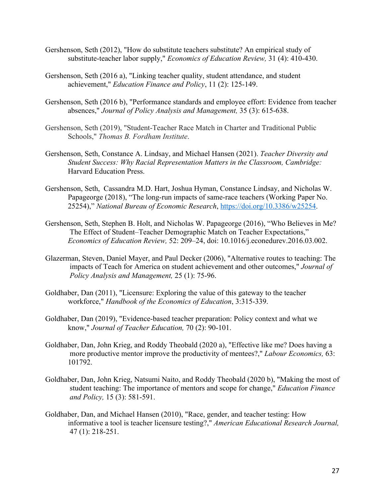- Gershenson, Seth (2012), "How do substitute teachers substitute? An empirical study of substitute-teacher labor supply," *Economics of Education Review,* 31 (4): 410-430.
- Gershenson, Seth (2016 a), "Linking teacher quality, student attendance, and student achievement," *Education Finance and Policy*, 11 (2): 125-149.
- Gershenson, Seth (2016 b), "Performance standards and employee effort: Evidence from teacher absences," *Journal of Policy Analysis and Management,* 35 (3): 615-638.
- Gershenson, Seth (2019), "Student-Teacher Race Match in Charter and Traditional Public Schools," *Thomas B. Fordham Institute*.
- Gershenson, Seth, Constance A. Lindsay, and Michael Hansen (2021). *Teacher Diversity and Student Success: Why Racial Representation Matters in the Classroom, Cambridge:* Harvard Education Press.
- Gershenson, Seth, Cassandra M.D. Hart, Joshua Hyman, Constance Lindsay, and Nicholas W. Papageorge (2018), "The long-run impacts of same-race teachers (Working Paper No. 25254)," *National Bureau of Economic Research*, https://doi.org/10.3386/w25254.
- Gershenson, Seth, Stephen B. Holt, and Nicholas W. Papageorge (2016), "Who Believes in Me? The Effect of Student–Teacher Demographic Match on Teacher Expectations," *Economics of Education Review,* 52: 209–24, doi: 10.1016/j.econedurev.2016.03.002.
- Glazerman, Steven, Daniel Mayer, and Paul Decker (2006), "Alternative routes to teaching: The impacts of Teach for America on student achievement and other outcomes," *Journal of Policy Analysis and Management,* 25 (1): 75-96.
- Goldhaber, Dan (2011), "Licensure: Exploring the value of this gateway to the teacher workforce," *Handbook of the Economics of Education*, 3:315-339.
- Goldhaber, Dan (2019), "Evidence-based teacher preparation: Policy context and what we know," *Journal of Teacher Education,* 70 (2): 90-101.
- Goldhaber, Dan, John Krieg, and Roddy Theobald (2020 a), "Effective like me? Does having a more productive mentor improve the productivity of mentees?," *Labour Economics,* 63: 101792.
- Goldhaber, Dan, John Krieg, Natsumi Naito, and Roddy Theobald (2020 b), "Making the most of student teaching: The importance of mentors and scope for change," *Education Finance and Policy,* 15 (3): 581-591.
- Goldhaber, Dan, and Michael Hansen (2010), "Race, gender, and teacher testing: How informative a tool is teacher licensure testing?," *American Educational Research Journal,* 47 (1): 218-251.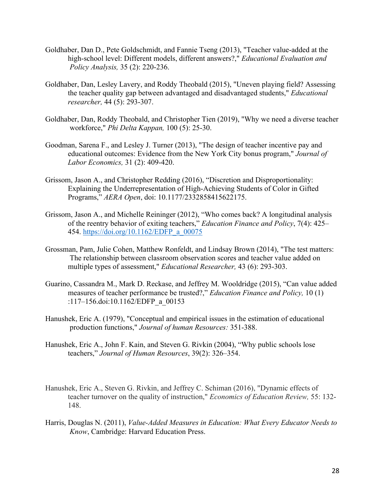- Goldhaber, Dan D., Pete Goldschmidt, and Fannie Tseng (2013), "Teacher value-added at the high-school level: Different models, different answers?," *Educational Evaluation and Policy Analysis,* 35 (2): 220-236.
- Goldhaber, Dan, Lesley Lavery, and Roddy Theobald (2015), "Uneven playing field? Assessing the teacher quality gap between advantaged and disadvantaged students," *Educational researcher,* 44 (5): 293-307.
- Goldhaber, Dan, Roddy Theobald, and Christopher Tien (2019), "Why we need a diverse teacher workforce," *Phi Delta Kappan,* 100 (5): 25-30.
- Goodman, Sarena F., and Lesley J. Turner (2013), "The design of teacher incentive pay and educational outcomes: Evidence from the New York City bonus program," *Journal of Labor Economics,* 31 (2): 409-420.
- Grissom, Jason A., and Christopher Redding (2016), "Discretion and Disproportionality: Explaining the Underrepresentation of High-Achieving Students of Color in Gifted Programs," *AERA Open*, doi: 10.1177/2332858415622175.
- Grissom, Jason A., and Michelle Reininger (2012), "Who comes back? A longitudinal analysis of the reentry behavior of exiting teachers," *Education Finance and Policy*, 7(4): 425– 454. https://doi.org/10.1162/EDFP\_a\_00075
- Grossman, Pam, Julie Cohen, Matthew Ronfeldt, and Lindsay Brown (2014), "The test matters: The relationship between classroom observation scores and teacher value added on multiple types of assessment," *Educational Researcher,* 43 (6): 293-303.
- Guarino, Cassandra M., Mark D. Reckase, and Jeffrey M. Wooldridge (2015), "Can value added measures of teacher performance be trusted?," *Education Finance and Policy,* 10 (1) :117–156.doi:10.1162/EDFP\_a\_00153
- Hanushek, Eric A. (1979), "Conceptual and empirical issues in the estimation of educational production functions," *Journal of human Resources:* 351-388.
- Hanushek, Eric A., John F. Kain, and Steven G. Rivkin (2004), "Why public schools lose teachers," *Journal of Human Resources*, 39(2): 326–354.
- Hanushek, Eric A., Steven G. Rivkin, and Jeffrey C. Schiman (2016), "Dynamic effects of teacher turnover on the quality of instruction," *Economics of Education Review,* 55: 132- 148.
- Harris, Douglas N. (2011), *Value-Added Measures in Education: What Every Educator Needs to Know*, Cambridge: Harvard Education Press.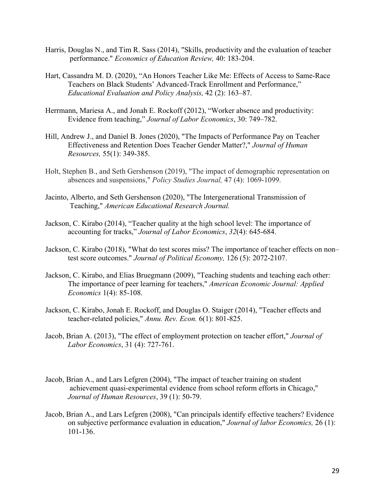- Harris, Douglas N., and Tim R. Sass (2014), "Skills, productivity and the evaluation of teacher performance." *Economics of Education Review,* 40: 183-204.
- Hart, Cassandra M. D. (2020), "An Honors Teacher Like Me: Effects of Access to Same-Race Teachers on Black Students' Advanced-Track Enrollment and Performance," *Educational Evaluation and Policy Analysis,* 42 (2): 163–87.
- Herrmann, Mariesa A., and Jonah E. Rockoff (2012), "Worker absence and productivity: Evidence from teaching," *Journal of Labor Economics*, 30: 749–782.
- Hill, Andrew J., and Daniel B. Jones (2020), "The Impacts of Performance Pay on Teacher Effectiveness and Retention Does Teacher Gender Matter?," *Journal of Human Resources,* 55(1): 349-385.
- Holt, Stephen B., and Seth Gershenson (2019), "The impact of demographic representation on absences and suspensions," *Policy Studies Journal,* 47 (4): 1069-1099.
- Jacinto, Alberto, and Seth Gershenson (2020), "The Intergenerational Transmission of Teaching," *American Educational Research Journal.*
- Jackson, C. Kirabo (2014), "Teacher quality at the high school level: The importance of accounting for tracks," *Journal of Labor Economics*, *32*(4): 645-684.
- Jackson, C. Kirabo (2018), "What do test scores miss? The importance of teacher effects on non– test score outcomes." *Journal of Political Economy,* 126 (5): 2072-2107.
- Jackson, C. Kirabo, and Elias Bruegmann (2009), "Teaching students and teaching each other: The importance of peer learning for teachers," *American Economic Journal: Applied Economics* 1(4): 85-108.
- Jackson, C. Kirabo, Jonah E. Rockoff, and Douglas O. Staiger (2014), "Teacher effects and teacher-related policies," *Annu. Rev. Econ.* 6(1): 801-825.
- Jacob, Brian A. (2013), "The effect of employment protection on teacher effort," *Journal of Labor Economics*, 31 (4): 727-761.
- Jacob, Brian A., and Lars Lefgren (2004), "The impact of teacher training on student achievement quasi-experimental evidence from school reform efforts in Chicago," *Journal of Human Resources*, 39 (1): 50-79.
- Jacob, Brian A., and Lars Lefgren (2008), "Can principals identify effective teachers? Evidence on subjective performance evaluation in education," *Journal of labor Economics,* 26 (1): 101-136.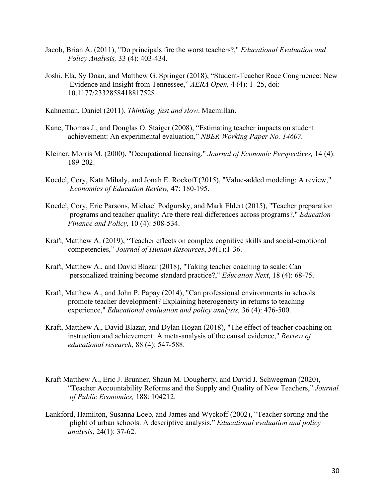- Jacob, Brian A. (2011), "Do principals fire the worst teachers?," *Educational Evaluation and Policy Analysis,* 33 (4): 403-434.
- Joshi, Ela, Sy Doan, and Matthew G. Springer (2018), "Student-Teacher Race Congruence: New Evidence and Insight from Tennessee," *AERA Open,* 4 (4): 1–25, doi: 10.1177/2332858418817528.
- Kahneman, Daniel (2011). *Thinking, fast and slow*. Macmillan.
- Kane, Thomas J., and Douglas O. Staiger (2008), "Estimating teacher impacts on student achievement: An experimental evaluation," *NBER Working Paper No. 14607.*
- Kleiner, Morris M. (2000), "Occupational licensing," *Journal of Economic Perspectives,* 14 (4): 189-202.
- Koedel, Cory, Kata Mihaly, and Jonah E. Rockoff (2015), "Value-added modeling: A review," *Economics of Education Review,* 47: 180-195.
- Koedel, Cory, Eric Parsons, Michael Podgursky, and Mark Ehlert (2015), "Teacher preparation programs and teacher quality: Are there real differences across programs?," *Education Finance and Policy,* 10 (4): 508-534.
- Kraft, Matthew A. (2019), "Teacher effects on complex cognitive skills and social-emotional competencies," *Journal of Human Resources*, *54*(1):1-36.
- Kraft, Matthew A., and David Blazar (2018), "Taking teacher coaching to scale: Can personalized training become standard practice?," *Education Next*, 18 (4): 68-75.
- Kraft, Matthew A., and John P. Papay (2014), "Can professional environments in schools promote teacher development? Explaining heterogeneity in returns to teaching experience," *Educational evaluation and policy analysis,* 36 (4): 476-500.
- Kraft, Matthew A., David Blazar, and Dylan Hogan (2018), "The effect of teacher coaching on instruction and achievement: A meta-analysis of the causal evidence," *Review of educational research,* 88 (4): 547-588.
- Kraft Matthew A., Eric J. Brunner, Shaun M. Dougherty, and David J. Schwegman (2020), "Teacher Accountability Reforms and the Supply and Quality of New Teachers," *Journal of Public Economics,* 188: 104212.
- Lankford, Hamilton, Susanna Loeb, and James and Wyckoff (2002), "Teacher sorting and the plight of urban schools: A descriptive analysis," *Educational evaluation and policy analysis*, 24(1): 37-62.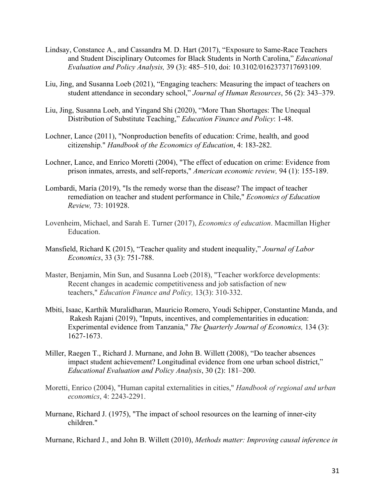- Lindsay, Constance A., and Cassandra M. D. Hart (2017), "Exposure to Same-Race Teachers and Student Disciplinary Outcomes for Black Students in North Carolina," *Educational Evaluation and Policy Analysis,* 39 (3): 485–510, doi: 10.3102/0162373717693109.
- Liu, Jing, and Susanna Loeb (2021), "Engaging teachers: Measuring the impact of teachers on student attendance in secondary school," *Journal of Human Resources*, 56 (2): 343–379.
- Liu, Jing, Susanna Loeb, and Yingand Shi (2020), "More Than Shortages: The Unequal Distribution of Substitute Teaching," *Education Finance and Policy*: 1-48.
- Lochner, Lance (2011), "Nonproduction benefits of education: Crime, health, and good citizenship." *Handbook of the Economics of Education*, 4: 183-282.
- Lochner, Lance, and Enrico Moretti (2004), "The effect of education on crime: Evidence from prison inmates, arrests, and self-reports," *American economic review,* 94 (1): 155-189.
- Lombardi, María (2019), "Is the remedy worse than the disease? The impact of teacher remediation on teacher and student performance in Chile," *Economics of Education Review,* 73: 101928.
- Lovenheim, Michael, and Sarah E. Turner (2017), *Economics of education*. Macmillan Higher Education.
- Mansfield, Richard K (2015), "Teacher quality and student inequality," *Journal of Labor Economics*, 33 (3): 751-788.
- Master, Benjamin, Min Sun, and Susanna Loeb (2018), "Teacher workforce developments: Recent changes in academic competitiveness and job satisfaction of new teachers," *Education Finance and Policy,* 13(3): 310-332.
- Mbiti, Isaac, Karthik Muralidharan, Mauricio Romero, Youdi Schipper, Constantine Manda, and Rakesh Rajani (2019), "Inputs, incentives, and complementarities in education: Experimental evidence from Tanzania," *The Quarterly Journal of Economics,* 134 (3): 1627-1673.
- Miller, Raegen T., Richard J. Murnane, and John B. Willett (2008), "Do teacher absences impact student achievement? Longitudinal evidence from one urban school district," *Educational Evaluation and Policy Analysis*, 30 (2): 181–200.
- Moretti, Enrico (2004), "Human capital externalities in cities," *Handbook of regional and urban economics*, 4: 2243-2291.
- Murnane, Richard J. (1975), "The impact of school resources on the learning of inner-city children."

Murnane, Richard J., and John B. Willett (2010), *Methods matter: Improving causal inference in*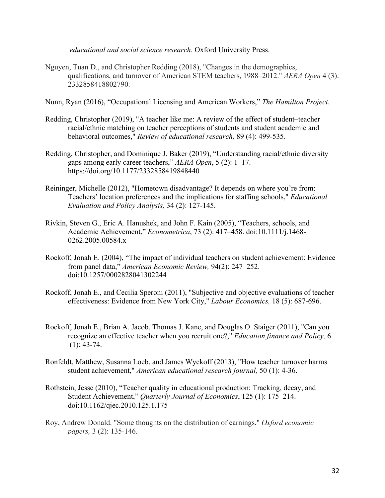*educational and social science research*. Oxford University Press.

Nguyen, Tuan D., and Christopher Redding (2018), "Changes in the demographics, qualifications, and turnover of American STEM teachers, 1988–2012." *AERA Open* 4 (3): 2332858418802790.

Nunn, Ryan (2016), "Occupational Licensing and American Workers," *The Hamilton Project*.

- Redding, Christopher (2019), "A teacher like me: A review of the effect of student–teacher racial/ethnic matching on teacher perceptions of students and student academic and behavioral outcomes," *Review of educational research,* 89 (4): 499-535.
- Redding, Christopher, and Dominique J. Baker (2019), "Understanding racial/ethnic diversity gaps among early career teachers," *AERA Open*, 5 (2): 1–17. https://doi.org/10.1177/2332858419848440
- Reininger, Michelle (2012), "Hometown disadvantage? It depends on where you're from: Teachers' location preferences and the implications for staffing schools," *Educational Evaluation and Policy Analysis,* 34 (2): 127-145.
- Rivkin, Steven G., Eric A. Hanushek, and John F. Kain (2005), "Teachers, schools, and Academic Achievement," *Econometrica*, 73 (2): 417–458. doi:10.1111/j.1468- 0262.2005.00584.x
- Rockoff, Jonah E. (2004), "The impact of individual teachers on student achievement: Evidence from panel data," *American Economic Review,* 94(2): 247–252. doi:10.1257/0002828041302244
- Rockoff, Jonah E., and Cecilia Speroni (2011), "Subjective and objective evaluations of teacher effectiveness: Evidence from New York City," *Labour Economics,* 18 (5): 687-696.
- Rockoff, Jonah E., Brian A. Jacob, Thomas J. Kane, and Douglas O. Staiger (2011), "Can you recognize an effective teacher when you recruit one?," *Education finance and Policy,* 6 (1): 43-74.
- Ronfeldt, Matthew, Susanna Loeb, and James Wyckoff (2013), "How teacher turnover harms student achievement," *American educational research journal,* 50 (1): 4-36.
- Rothstein, Jesse (2010), "Teacher quality in educational production: Tracking, decay, and Student Achievement," *Quarterly Journal of Economics*, 125 (1): 175–214. doi:10.1162/qjec.2010.125.1.175
- Roy, Andrew Donald. "Some thoughts on the distribution of earnings." *Oxford economic papers,* 3 (2): 135-146.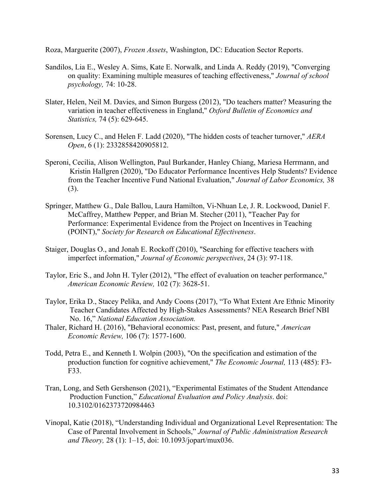Roza, Marguerite (2007), *Frozen Assets*, Washington, DC: Education Sector Reports.

- Sandilos, Lia E., Wesley A. Sims, Kate E. Norwalk, and Linda A. Reddy (2019), "Converging on quality: Examining multiple measures of teaching effectiveness," *Journal of school psychology,* 74: 10-28.
- Slater, Helen, Neil M. Davies, and Simon Burgess (2012), "Do teachers matter? Measuring the variation in teacher effectiveness in England," *Oxford Bulletin of Economics and Statistics,* 74 (5): 629-645.
- Sorensen, Lucy C., and Helen F. Ladd (2020), "The hidden costs of teacher turnover," *AERA Open*, 6 (1): 2332858420905812.
- Speroni, Cecilia, Alison Wellington, Paul Burkander, Hanley Chiang, Mariesa Herrmann, and Kristin Hallgren (2020), "Do Educator Performance Incentives Help Students? Evidence from the Teacher Incentive Fund National Evaluation," *Journal of Labor Economics,* 38 (3).
- Springer, Matthew G., Dale Ballou, Laura Hamilton, Vi-Nhuan Le, J. R. Lockwood, Daniel F. McCaffrey, Matthew Pepper, and Brian M. Stecher (2011), "Teacher Pay for Performance: Experimental Evidence from the Project on Incentives in Teaching (POINT)," *Society for Research on Educational Effectiveness*.
- Staiger, Douglas O., and Jonah E. Rockoff (2010), "Searching for effective teachers with imperfect information," *Journal of Economic perspectives*, 24 (3): 97-118.
- Taylor, Eric S., and John H. Tyler (2012), "The effect of evaluation on teacher performance," *American Economic Review,* 102 (7): 3628-51.
- Taylor, Erika D., Stacey Pelika, and Andy Coons (2017), "To What Extent Are Ethnic Minority Teacher Candidates Affected by High-Stakes Assessments? NEA Research Brief NBI No. 16," *National Education Association.*
- Thaler, Richard H. (2016), "Behavioral economics: Past, present, and future," *American Economic Review,* 106 (7): 1577-1600.
- Todd, Petra E., and Kenneth I. Wolpin (2003), "On the specification and estimation of the production function for cognitive achievement," *The Economic Journal,* 113 (485): F3- F33.
- Tran, Long, and Seth Gershenson (2021), "Experimental Estimates of the Student Attendance Production Function," *Educational Evaluation and Policy Analysis*. doi: 10.3102/0162373720984463
- Vinopal, Katie (2018), "Understanding Individual and Organizational Level Representation: The Case of Parental Involvement in Schools," *Journal of Public Administration Research and Theory,* 28 (1): 1–15, doi: 10.1093/jopart/mux036.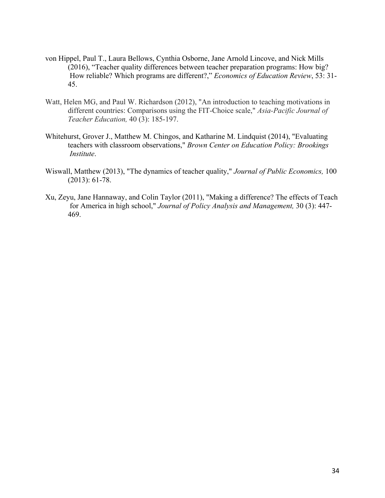- von Hippel, Paul T., Laura Bellows, Cynthia Osborne, Jane Arnold Lincove, and Nick Mills (2016), "Teacher quality differences between teacher preparation programs: How big? How reliable? Which programs are different?," *Economics of Education Review*, 53: 31- 45.
- Watt, Helen MG, and Paul W. Richardson (2012), "An introduction to teaching motivations in different countries: Comparisons using the FIT-Choice scale," *Asia-Pacific Journal of Teacher Education,* 40 (3): 185-197.
- Whitehurst, Grover J., Matthew M. Chingos, and Katharine M. Lindquist (2014), "Evaluating teachers with classroom observations," *Brown Center on Education Policy: Brookings Institute*.
- Wiswall, Matthew (2013), "The dynamics of teacher quality," *Journal of Public Economics,* 100 (2013): 61-78.
- Xu, Zeyu, Jane Hannaway, and Colin Taylor (2011), "Making a difference? The effects of Teach for America in high school," *Journal of Policy Analysis and Management,* 30 (3): 447- 469.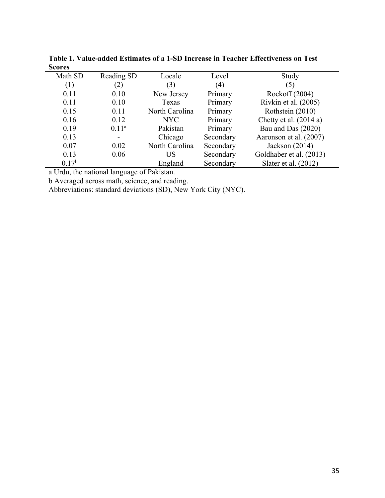| www.vu            |                   |                |           |                         |
|-------------------|-------------------|----------------|-----------|-------------------------|
| Math SD           | Reading SD        | Locale         | Level     | Study                   |
|                   | (2)               | (3)            | (4)       | $\left(5\right)$        |
| 0.11              | 0.10              | New Jersey     | Primary   | Rockoff (2004)          |
| 0.11              | 0.10              | Texas          | Primary   | Rivkin et al. (2005)    |
| 0.15              | 0.11              | North Carolina | Primary   | Rothstein (2010)        |
| 0.16              | 0.12              | NYC.           | Primary   | Chetty et al. $(2014a)$ |
| 0.19              | 0.11 <sup>a</sup> | Pakistan       | Primary   | Bau and Das (2020)      |
| 0.13              |                   | Chicago        | Secondary | Aaronson et al. (2007)  |
| 0.07              | 0.02              | North Carolina | Secondary | Jackson $(2014)$        |
| 0.13              | 0.06              | US             | Secondary | Goldhaber et al. (2013) |
| 0.17 <sup>b</sup> |                   | England        | Secondary | Slater et al. $(2012)$  |
|                   |                   |                |           |                         |

**Table 1. Value-added Estimates of a 1-SD Increase in Teacher Effectiveness on Test Scores** 

a Urdu, the national language of Pakistan.

b Averaged across math, science, and reading.

Abbreviations: standard deviations (SD), New York City (NYC).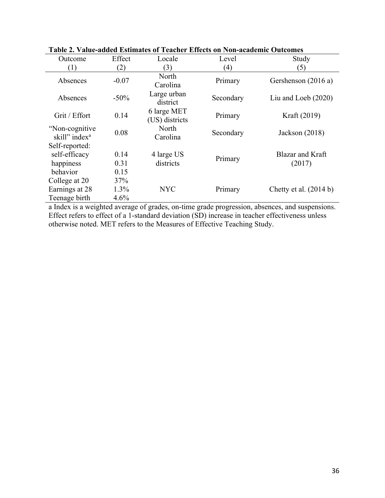| Outcome                                      | Effect  | Locale                        | Level     | Study                      |  |
|----------------------------------------------|---------|-------------------------------|-----------|----------------------------|--|
| (1)                                          | (2)     | (3)                           | (4)       | (5)                        |  |
| Absences                                     | $-0.07$ | North<br>Carolina             | Primary   | Gershenson (2016 a)        |  |
| Absences                                     | $-50\%$ | Large urban<br>district       | Secondary | Liu and Loeb $(2020)$      |  |
| Grit / Effort                                | 0.14    | 6 large MET<br>(US) districts | Primary   | Kraft (2019)               |  |
| "Non-cognitive"<br>skill" index <sup>a</sup> | 0.08    | North<br>Carolina             | Secondary | Jackson $(2018)$           |  |
| Self-reported:                               |         |                               |           |                            |  |
| self-efficacy                                | 0.14    | 4 large US                    | Primary   | Blazar and Kraft<br>(2017) |  |
| happiness                                    | 0.31    | districts                     |           |                            |  |
| behavior                                     | 0.15    |                               |           |                            |  |
| College at 20                                | 37%     |                               |           |                            |  |
| Earnings at 28                               | $1.3\%$ | <b>NYC</b>                    | Primary   | Chetty et al. $(2014 b)$   |  |
| Teenage birth                                | 4.6%    |                               |           |                            |  |

**Table 2. Value-added Estimates of Teacher Effects on Non-academic Outcomes** 

a Index is a weighted average of grades, on-time grade progression, absences, and suspensions. Effect refers to effect of a 1-standard deviation (SD) increase in teacher effectiveness unless otherwise noted. MET refers to the Measures of Effective Teaching Study.